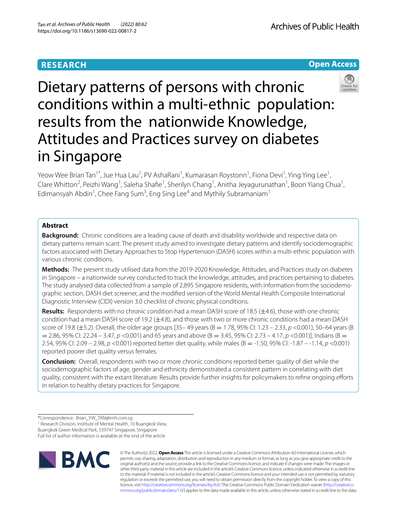# **RESEARCH**

Archives of Public Health





# Dietary patterns of persons with chronic conditions within a multi-ethnic population: results from the nationwide Knowledge, Attitudes and Practices survey on diabetes in Singapore

Yeow Wee Brian Tan<sup>1\*</sup>, Jue Hua Lau<sup>1</sup>, PV AshaRani<sup>1</sup>, Kumarasan Roystonn<sup>1</sup>, Fiona Devi<sup>1</sup>, Ying Ying Lee<sup>1</sup>, Clare Whitton<sup>2</sup>, Peizhi Wang<sup>1</sup>, Saleha Shafie<sup>1</sup>, Sherilyn Chang<sup>1</sup>, Anitha Jeyagurunathan<sup>1</sup>, Boon Yiang Chua<sup>1</sup>, Edimansyah Abdin<sup>1</sup>, Chee Fang Sum<sup>3</sup>, Eng Sing Lee<sup>4</sup> and Mythily Subramaniam<sup>1</sup>

## **Abstract**

**Background:** Chronic conditions are a leading cause of death and disability worldwide and respective data on dietary patterns remain scant. The present study aimed to investigate dietary patterns and identify sociodemographic factors associated with Dietary Approaches to Stop Hypertension (DASH) scores within a multi-ethnic population with various chronic conditions.

**Methods:** The present study utilised data from the 2019-2020 Knowledge, Attitudes, and Practices study on diabetes in Singapore – a nationwide survey conducted to track the knowledge, attitudes, and practices pertaining to diabetes. The study analysed data collected from a sample of 2,895 Singapore residents, with information from the sociodemographic section, DASH diet screener, and the modifed version of the World Mental Health Composite International Diagnostic Interview (CIDI) version 3.0 checklist of chronic physical conditions.

**Results:** Respondents with no chronic condition had a mean DASH score of 18.5 (±4.6), those with one chronic condition had a mean DASH score of 19.2 ( $\pm$ 4.8), and those with two or more chronic conditions had a mean DASH score of 19.8 (±5.2). Overall, the older age groups [35– 49 years (B = 1.78, 95% CI: 1.23 – 2.33, *p* <0.001), 50–64 years (B = 2.86, 95% CI: 22.24 – 3.47, *p* <0.001) and 65 years and above (B = 3.45, 95% CI: 2.73 – 4.17, *p* <0.001)], Indians (B = 2.54, 95% CI: 2.09 – 2.98, *p* <0.001) reported better diet quality, while males (B = -1.50, 95% CI: -1.87 – -1.14, *p* <0.001) reported poorer diet quality versus females.

**Conclusion:** Overall, respondents with two or more chronic conditions reported better quality of diet while the sociodemographic factors of age, gender and ethnicity demonstrated a consistent pattern in correlating with diet quality, consistent with the extant literature. Results provide further insights for policymakers to refne ongoing eforts in relation to healthy dietary practices for Singapore.

<sup>1</sup> Research Division, Institute of Mental Health, 10 Buangkok View,

Full list of author information is available at the end of the article



© The Author(s) 2022. **Open Access** This article is licensed under a Creative Commons Attribution 4.0 International License, which permits use, sharing, adaptation, distribution and reproduction in any medium or format, as long as you give appropriate credit to the original author(s) and the source, provide a link to the Creative Commons licence, and indicate if changes were made. The images or other third party material in this article are included in the article's Creative Commons licence, unless indicated otherwise in a credit line to the material. If material is not included in the article's Creative Commons licence and your intended use is not permitted by statutory regulation or exceeds the permitted use, you will need to obtain permission directly from the copyright holder. To view a copy of this licence, visit [http://creativecommons.org/licenses/by/4.0/.](http://creativecommons.org/licenses/by/4.0/) The Creative Commons Public Domain Dedication waiver ([http://creativeco](http://creativecommons.org/publicdomain/zero/1.0/) [mmons.org/publicdomain/zero/1.0/](http://creativecommons.org/publicdomain/zero/1.0/)) applies to the data made available in this article, unless otherwise stated in a credit line to the data.

<sup>\*</sup>Correspondence: Brian\_YW\_TAN@imh.com.sg

Buangkok Green Medical Park, 539747 Singapore, Singapore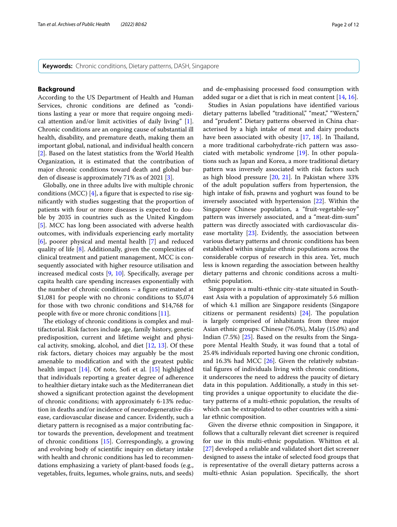**Keywords:** Chronic conditions, Dietary patterns, DASH, Singapore

## **Background**

According to the US Department of Health and Human Services, chronic conditions are defned as "conditions lasting a year or more that require ongoing medical attention and/or limit activities of daily living" [\[1](#page-10-0)]. Chronic conditions are an ongoing cause of substantial ill health, disability, and premature death, making them an important global, national, and individual health concern [[2\]](#page-10-1). Based on the latest statistics from the World Health Organization, it is estimated that the contribution of major chronic conditions toward death and global burden of disease is approximately 71% as of 2021 [[3\]](#page-10-2).

Globally, one in three adults live with multiple chronic conditions (MCC)  $[4]$  $[4]$ , a figure that is expected to rise signifcantly with studies suggesting that the proportion of patients with four or more diseases is expected to double by 2035 in countries such as the United Kingdom [[5\]](#page-10-4). MCC has long been associated with adverse health outcomes, with individuals experiencing early mortality [[6\]](#page-10-5), poorer physical and mental health [\[7](#page-10-6)] and reduced quality of life [[8\]](#page-10-7). Additionally, given the complexities of clinical treatment and patient management, MCC is consequently associated with higher resource utilisation and increased medical costs [\[9](#page-10-8), [10\]](#page-10-9). Specifcally, average per capita health care spending increases exponentially with the number of chronic conditions – a fgure estimated at \$1,081 for people with no chronic conditions to \$5,074 for those with two chronic conditions and \$14,768 for people with fve or more chronic conditions [[11\]](#page-10-10).

The etiology of chronic conditions is complex and multifactorial. Risk factors include age, family history, genetic predisposition, current and lifetime weight and physical activity, smoking, alcohol, and diet  $[12, 13]$  $[12, 13]$  $[12, 13]$  $[12, 13]$ . Of these risk factors, dietary choices may arguably be the most amenable to modifcation and with the greatest public health impact [[14](#page-10-13)]. Of note, Sofi et al. [\[15\]](#page-10-14) highlighted that individuals reporting a greater degree of adherence to healthier dietary intake such as the Mediterranean diet showed a signifcant protection against the development of chronic conditions; with approximately 6-13% reduction in deaths and/or incidence of neurodegenerative disease, cardiovascular disease and cancer. Evidently, such a dietary pattern is recognised as a major contributing factor towards the prevention, development and treatment of chronic conditions [[15](#page-10-14)]. Correspondingly, a growing and evolving body of scientifc inquiry on dietary intake with health and chronic conditions has led to recommendations emphasizing a variety of plant-based foods (e.g., vegetables, fruits, legumes, whole grains, nuts, and seeds) and de-emphasising processed food consumption with added sugar or a diet that is rich in meat content [[14,](#page-10-13) [16](#page-10-15)].

Studies in Asian populations have identifed various dietary patterns labelled "traditional," "meat," "Western," and "prudent". Dietary patterns observed in China characterised by a high intake of meat and dairy products have been associated with obesity [[17,](#page-10-16) [18](#page-10-17)]. In Thailand, a more traditional carbohydrate-rich pattern was associated with metabolic syndrome [\[19](#page-10-18)]. In other populations such as Japan and Korea, a more traditional dietary pattern was inversely associated with risk factors such as high blood pressure [[20](#page-10-19), [21](#page-10-20)]. In Pakistan where 33% of the adult population sufers from hypertension, the high intake of fsh, prawns and yoghurt was found to be inversely associated with hypertension [[22](#page-10-21)]. Within the Singapore Chinese population, a "fruit-vegetable-soy" pattern was inversely associated, and a "meat-dim-sum" pattern was directly associated with cardiovascular disease mortality [\[23](#page-10-22)]. Evidently, the association between various dietary patterns and chronic conditions has been established within singular ethnic populations across the considerable corpus of research in this area. Yet, much less is known regarding the association between healthy dietary patterns and chronic conditions across a multiethnic population.

Singapore is a multi-ethnic city-state situated in Southeast Asia with a population of approximately 5.6 million of which 4.1 million are Singapore residents (Singapore citizens or permanent residents)  $[24]$  $[24]$ . The population is largely comprised of inhabitants from three major Asian ethnic groups: Chinese (76.0%), Malay (15.0%) and Indian (7.5%) [\[25](#page-10-24)]. Based on the results from the Singapore Mental Health Study, it was found that a total of 25.4% individuals reported having one chronic condition, and 16.3% had MCC  $[26]$  $[26]$ . Given the relatively substantial fgures of individuals living with chronic conditions, it underscores the need to address the paucity of dietary data in this population. Additionally, a study in this setting provides a unique opportunity to elucidate the dietary patterns of a multi-ethnic population, the results of which can be extrapolated to other countries with a similar ethnic composition.

Given the diverse ethnic composition in Singapore, it follows that a culturally relevant diet screener is required for use in this multi-ethnic population. Whitton et al. [[27\]](#page-10-26) developed a reliable and validated short diet screener designed to assess the intake of selected food groups that is representative of the overall dietary patterns across a multi-ethnic Asian population. Specifcally, the short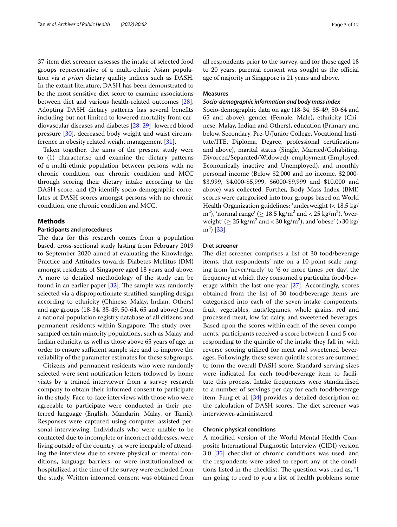37-item diet screener assesses the intake of selected food groups representative of a multi-ethnic Asian population via *a priori* dietary quality indices such as DASH. In the extant literature, DASH has been demonstrated to be the most sensitive diet score to examine associations between diet and various health-related outcomes [\[28](#page-10-27)]. Adopting DASH dietary patterns has several benefts including but not limited to lowered mortality from cardiovascular diseases and diabetes [\[28,](#page-10-27) [29\]](#page-10-28), lowered blood pressure [[30\]](#page-10-29), decreased body weight and waist circumference in obesity related weight management [\[31](#page-10-30)].

Taken together, the aims of the present study were to (1) characterise and examine the dietary patterns of a multi-ethnic population between persons with no chronic condition, one chronic condition and MCC through scoring their dietary intake according to the DASH score, and (2) identify socio-demographic correlates of DASH scores amongst persons with no chronic condition, one chronic condition and MCC.

## **Methods**

### **Participants and procedures**

The data for this research comes from a population based, cross-sectional study lasting from February 2019 to September 2020 aimed at evaluating the Knowledge, Practice and Attitudes towards Diabetes Mellitus (DM) amongst residents of Singapore aged 18 years and above. A more to detailed methodology of the study can be found in an earlier paper  $[32]$  $[32]$ . The sample was randomly selected via a disproportionate stratifed sampling design according to ethnicity (Chinese, Malay, Indian, Others) and age groups (18-34, 35-49, 50-64, 65 and above) from a national population registry database of all citizens and permanent residents within Singapore. The study oversampled certain minority populations, such as Malay and Indian ethnicity, as well as those above 65 years of age, in order to ensure sufficient sample size and to improve the reliability of the parameter estimates for these subgroups.

Citizens and permanent residents who were randomly selected were sent notifcation letters followed by home visits by a trained interviewer from a survey research company to obtain their informed consent to participate in the study. Face-to-face interviews with those who were agreeable to participate were conducted in their preferred language (English, Mandarin, Malay, or Tamil). Responses were captured using computer assisted personal interviewing. Individuals who were unable to be contacted due to incomplete or incorrect addresses, were living outside of the country, or were incapable of attending the interview due to severe physical or mental conditions, language barriers, or were institutionalized or hospitalized at the time of the survey were excluded from the study. Written informed consent was obtained from all respondents prior to the survey, and for those aged 18 to 20 years, parental consent was sought as the official age of majority in Singapore is 21 years and above.

## **Measures**

#### *Socio‑demographic information and body mass index*

Socio-demographic data on age (18-34, 35-49, 50-64 and 65 and above), gender (Female, Male), ethnicity (Chinese, Malay, Indian and Others), education (Primary and below, Secondary, Pre-U/Junior College, Vocational Institute/ITE, Diploma, Degree, professional certifcations and above), marital status (Single, Married/Cohabiting, Divorced/Separated/Widowed), employment (Employed, Economically inactive and Unemployed), and monthly personal income (Below \$2,000 and no income, \$2,000- \$3,999, \$4,000-\$5,999, \$6000-\$9,999 and \$10,000 and above) was collected. Further, Body Mass Index (BMI) scores were categorised into four groups based on World Health Organization guidelines: 'underweight (< 18.5 kg/ m<sup>2</sup>), 'normal range' ( $\geq 18.5 \text{ kg/m}^2$  and < 25 kg/m<sup>2</sup>), 'overweight' ( $\geq 25 \text{ kg/m}^2$  and  $< 30 \text{ kg/m}^2$ ), and 'obese' ( $> 30 \text{ kg/m}^2$ )  $m<sup>2</sup>$ ) [\[33\]](#page-10-32).

### **Diet screener**

The diet screener comprises a list of 30 food/beverage items, that respondents' rate on a 10-point scale ranging from 'never/rarely' to '6 or more times per day', the frequency at which they consumed a particular food/beverage within the last one year [[27\]](#page-10-26). Accordingly, scores obtained from the list of 30 food/beverage items are categorised into each of the seven intake components: fruit, vegetables, nuts/legumes, whole grains, red and processed meat, low fat dairy, and sweetened beverages. Based upon the scores within each of the seven components, participants received a score between 1 and 5 corresponding to the quintile of the intake they fall in, with reverse scoring utilized for meat and sweetened beverages. Followingly. these seven quintile scores are summed to form the overall DASH score. Standard serving sizes were indicated for each food/beverage item to facilitate this process. Intake frequencies were standardised to a number of servings per day for each food/beverage item. Fung et al. [[34](#page-10-33)] provides a detailed description on the calculation of DASH scores. The diet screener was interviewer-administered.

## **Chronic physical conditions**

A modifed version of the World Mental Health Composite International Diagnostic Interview (CIDI) version 3.0 [\[35](#page-10-34)] checklist of chronic conditions was used, and the respondents were asked to report any of the conditions listed in the checklist. The question was read as, "I am going to read to you a list of health problems some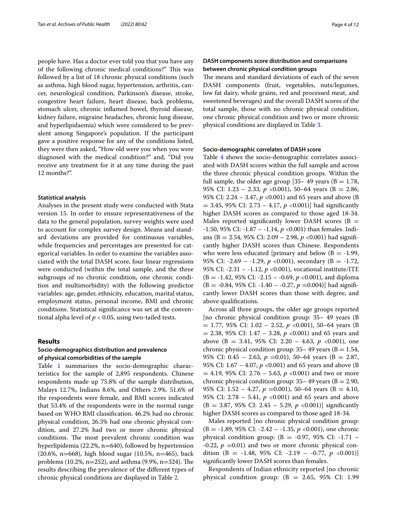people have. Has a doctor ever told you that you have any of the following chronic medical conditions?" This was followed by a list of 18 chronic physical conditions (such as asthma, high blood sugar, hypertension, arthritis, cancer, neurological condition, Parkinson's disease, stroke, congestive heart failure, heart disease, back problems, stomach ulcer, chronic infamed bowel, thyroid disease, kidney failure, migraine headaches, chronic lung disease, and hyperlipidaemia) which were considered to be prevalent among Singapore's population. If the participant gave a positive response for any of the conditions listed, they were then asked, "How old were you when you were diagnosed with the medical condition?" and, "Did you receive any treatment for it at any time during the past 12 months?".

#### **Statistical analysis**

Analyses in the present study were conducted with Stata version 15. In order to ensure representativeness of the data to the general population, survey weights were used to account for complex survey design. Means and standard deviations are provided for continuous variables, while frequencies and percentages are presented for categorical variables. In order to examine the variables associated with the total DASH score, four linear regressions were conducted (within the total sample, and the three subgroups of no chronic condition, one chronic condition and multimorbidity) with the following predictor variables: age, gender, ethnicity, education, marital status, employment status, personal income, BMI and chronic conditions. Statistical signifcance was set at the conventional alpha level of  $p < 0.05$ , using two-tailed tests.

## **Results**

## **Socio‑demographics distribution and prevalence of physical comorbidities of the sample**

Table [1](#page-4-0) summarises the socio-demographic characteristics for the sample of 2,895 respondents. Chinese respondents made up 75.8% of the sample distribution, Malays 12.7%, Indians 8.6%, and Others 2.9%. 51.6% of the respondents were female, and BMI scores indicated that 53.4% of the respondents were in the normal range based on WHO BMI classifcation. 46.2% had no chronic physical condition, 26.3% had one chronic physical condition, and 27.2% had two or more chronic physical conditions. The most prevalent chronic condition was hyperlipidemia (22.2%, n=640), followed by hypertension (20.6%, n=668), high blood sugar (10.5%, n=465), back problems (10.2%,  $n=252$ ), and asthma (9.9%,  $n=324$ ). The results describing the prevalence of the diferent types of chronic physical conditions are displayed in Table [2](#page-5-0).

## **DASH components score distribution and comparisons between chronic physical condition groups**

The means and standard deviations of each of the seven DASH components (fruit, vegetables, nuts/legumes, low fat dairy, whole grains, red and processed meat, and sweetened beverages) and the overall DASH scores of the total sample, those with no chronic physical condition, one chronic physical condition and two or more chronic physical conditions are displayed in Table [3.](#page-6-0)

#### **Socio‑demographic correlates of DASH score**

Table [4](#page-7-0) shows the socio-demographic correlates associated with DASH scores within the full sample and across the three chronic physical condition groups. Within the full sample, the older age group [35– 49 years ( $B = 1.78$ , 95% CI: 1.23 – 2.33,  $p \le 0.001$ ), 50–64 years (B = 2.86, 95% CI: 2.24 – 3.47, *p* <0.001) and 65 years and above (B  $= 3.45, 95\%$  CI: 2.73 – 4.17,  $p \le 0.001$ ) had significantly higher DASH scores as compared to those aged 18-34. Males reported significantly lower DASH scores ( $B =$ -1.50, 95% CI: -1.87 – -1.14, *p* <0.001) than females. Indians (B = 2.54, 95% CI: 2.09 – 2.98, *p* <0.001) had signifcantly higher DASH scores than Chinese. Respondents who were less educated [primary and below  $(B = -1.99,$ 95% CI:  $-2.69 - -1.29$ ,  $p \le 0.001$ ), secondary (B =  $-1.72$ , 95% CI: -2.31 – -1.12, *p* <0.001), vocational institute/ITE (B = -1.42, 95% CI: -2.15 – -0.69, *p* <0.001), and diploma  $(B = -0.84, 95\% \text{ CI: } -1.40 - -0.27, p = 0.004)$ ] had significantly lower DASH scores than those with degree, and above qualifcations.

Across all three groups, the older age groups reported [no chronic physical condition group: 35– 49 years (B = 1.77, 95% CI: 1.02 – 2.52, *p* <0.001), 50–64 years (B = 2.38, 95% CI: 1.47 – 3.28, *p* <0.001) and 65 years and above (B = 3.41, 95% CI: 2.20 – 4.63, *p* <0.001), one chronic physical condition group:  $35-49$  years ( $B = 1.54$ , 95% CI: 0.45 – 2.63,  $p = 0.01$ ), 50–64 years (B = 2.87, 95% CI: 1.67 – 4.07, *p* <0.001) and 65 years and above (B  $= 4.19$ , 95% CI: 2.76 – 5.63,  $p \lt 0.001$ ) and two or more chronic physical condition group:  $35-49$  years ( $B = 2.90$ , 95% CI:  $1.52 - 4.27$ ,  $p = 0.001$ ), 50–64 years (B = 4.10, 95% CI: 2.78 – 5.41, *p* <0.001) and 65 years and above  $(B = 3.87, 95\% \text{ CI: } 2.45 - 5.29, p < 0.001)$  significantly higher DASH scores as compared to those aged 18-34.

Males reported [no chronic physical condition group: (B = -1.89, 95% CI: -2.42 – -1.35, *p* <0.001), one chronic physical condition group:  $(B = -0.97, 95\% \text{ CI: } -1.71$  –  $-0.22$ ,  $p = 0.01$ ) and two or more chronic physical condition (B = -1.48, 95% CI: -2.19 – -0.77, *p* <0.001)] signifcantly lower DASH scores than females.

Respondents of Indian ethnicity reported [no chronic physical condition group:  $(B = 2.65, 95\% \text{ CI: } 1.99$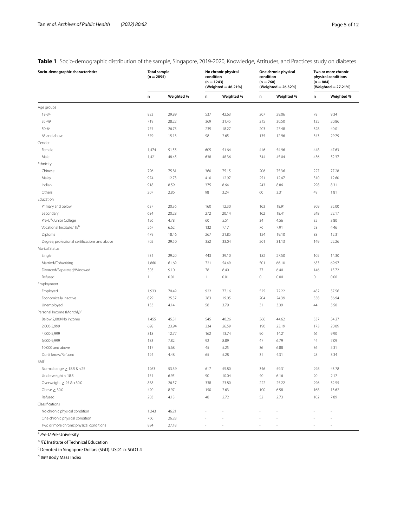## <span id="page-4-0"></span>**Table 1** Socio-demographic distribution of the sample, Singapore, 2019-2020, Knowledge, Attitudes, and Practices study on diabetes

| Socio-demographic characteristics             | <b>Total sample</b><br>$(n = 2895)$ |            | No chronic physical<br>condition<br>$(n = 1243)$<br>(Weighted = 46.21%) |            | One chronic physical<br>condition<br>$(n = 760)$<br>(Weighted = 26.32%) |            | Two or more chronic<br>physical conditions<br>$(n = 884)$<br>(Weighted = 27.21%) |            |
|-----------------------------------------------|-------------------------------------|------------|-------------------------------------------------------------------------|------------|-------------------------------------------------------------------------|------------|----------------------------------------------------------------------------------|------------|
|                                               | $\mathsf n$                         | Weighted % | n                                                                       | Weighted % | n                                                                       | Weighted % | n                                                                                | Weighted % |
| Age groups                                    |                                     |            |                                                                         |            |                                                                         |            |                                                                                  |            |
| 18-34                                         | 823                                 | 29.89      | 537                                                                     | 42.63      | 207                                                                     | 29.06      | 78                                                                               | 9.34       |
| 35-49                                         | 719                                 | 28.22      | 369                                                                     | 31.45      | 215                                                                     | 30.50      | 135                                                                              | 20.86      |
| $50 - 64$                                     | 774                                 | 26.75      | 239                                                                     | 18.27      | 203                                                                     | 27.48      | 328                                                                              | 40.01      |
| 65 and above                                  | 579                                 | 15.13      | 98                                                                      | 7.65       | 135                                                                     | 12.96      | 343                                                                              | 29.79      |
| Gender                                        |                                     |            |                                                                         |            |                                                                         |            |                                                                                  |            |
| Female                                        | 1,474                               | 51.55      | 605                                                                     | 51.64      | 416                                                                     | 54.96      | 448                                                                              | 47.63      |
| Male                                          | 1,421                               | 48.45      | 638                                                                     | 48.36      | 344                                                                     | 45.04      | 436                                                                              | 52.37      |
| Ethnicity                                     |                                     |            |                                                                         |            |                                                                         |            |                                                                                  |            |
| Chinese                                       | 796                                 | 75.81      | 360                                                                     | 75.15      | 206                                                                     | 75.36      | 227                                                                              | 77.28      |
| Malay                                         | 974                                 | 12.73      | 410                                                                     | 12.97      | 251                                                                     | 12.47      | 310                                                                              | 12.60      |
| Indian                                        | 918                                 | 8.59       | 375                                                                     | 8.64       | 243                                                                     | 8.86       | 298                                                                              | 8.31       |
| Others                                        | 207                                 | 2.86       | 98                                                                      | 3.24       | 60                                                                      | 3.31       | 49                                                                               | 1.81       |
| Education                                     |                                     |            |                                                                         |            |                                                                         |            |                                                                                  |            |
| Primary and below                             | 637                                 | 20.36      | 160                                                                     | 12.30      | 163                                                                     | 18.91      | 309                                                                              | 35.00      |
| Secondary                                     | 684                                 | 20.28      | 272                                                                     | 20.14      | 162                                                                     | 18.41      | 248                                                                              | 22.17      |
| Pre-U <sup>a</sup> /Junior College            | 126                                 | 4.78       | 60                                                                      | 5.51       | 34                                                                      | 4.56       | 32                                                                               | 3.80       |
| Vocational Institute/ITE <sup>b</sup>         | 267                                 | 6.62       | 132                                                                     | 7.17       | 76                                                                      | 7.91       | 58                                                                               | 4.46       |
| Diploma                                       | 479                                 | 18.46      | 267                                                                     | 21.85      | 124                                                                     | 19.10      | 88                                                                               | 12.31      |
| Degree, professional certifications and above | 702                                 | 29.50      | 352                                                                     | 33.04      | 201                                                                     | 31.13      | 149                                                                              | 22.26      |
| Marital Status                                |                                     |            |                                                                         |            |                                                                         |            |                                                                                  |            |
|                                               | 731                                 | 29.20      | 443                                                                     | 39.10      | 182                                                                     | 27.50      | 105                                                                              | 14.30      |
| Single                                        | 1,860                               | 61.69      | 721                                                                     | 54.49      | 501                                                                     | 66.10      | 633                                                                              | 69.97      |
| Married/Cohabiting                            |                                     |            |                                                                         |            |                                                                         |            |                                                                                  |            |
| Divorced/Separated/Widowed                    | 303                                 | 9.10       | 78                                                                      | 6.40       | 77                                                                      | 6.40       | 146                                                                              | 15.72      |
| Refused                                       | 1                                   | 0.01       | $\mathbf{1}$                                                            | 0.01       | $\mathbf 0$                                                             | 0.00       | $\mathbf 0$                                                                      | 0.00       |
| Employment                                    |                                     |            |                                                                         |            |                                                                         |            |                                                                                  |            |
| Employed                                      | 1,933                               | 70.49      | 922                                                                     | 77.16      | 525                                                                     | 72.22      | 482                                                                              | 57.56      |
| Economically inactive                         | 829                                 | 25.37      | 263                                                                     | 19.05      | 204                                                                     | 24.39      | 358                                                                              | 36.94      |
| Unemployed                                    | 133                                 | 4.14       | 58                                                                      | 3.79       | 31                                                                      | 3.39       | 44                                                                               | 5.50       |
| Personal Income (Monthly) <sup>c</sup>        |                                     |            |                                                                         |            |                                                                         |            |                                                                                  |            |
| Below 2,000/No income                         | 1,455                               | 45.31      | 545                                                                     | 40.26      | 366                                                                     | 44.62      | 537                                                                              | 54.27      |
| 2,000-3,999                                   | 698                                 | 23.94      | 334                                                                     | 26.59      | 190                                                                     | 23.19      | 173                                                                              | 20.09      |
| 4,000-5,999                                   | 318                                 | 12.77      | 162                                                                     | 13.74      | 90                                                                      | 14.21      | 66                                                                               | 9.90       |
| 6,000-9,999                                   | 183                                 | 7.82       | 92                                                                      | 8.89       | 47                                                                      | 6.79       | 44                                                                               | 7.09       |
| 10,000 and above                              | 117                                 | 5.68       | 45                                                                      | 5.25       | 36                                                                      | 6.88       | 36                                                                               | 5.31       |
| Don't know/Refused                            | 124                                 | 4.48       | 65                                                                      | 5.28       | 31                                                                      | 4.31       | 28                                                                               | 3.34       |
| <b>BMI</b> <sup>d</sup>                       |                                     |            |                                                                         |            |                                                                         |            |                                                                                  |            |
| Normal range $\geq 18.5$ & <25                | 1263                                | 53.39      | 617                                                                     | 55.80      | 346                                                                     | 59.31      | 298                                                                              | 43.78      |
| Underweight $<$ 18.5                          | 151                                 | 6.95       | $90\,$                                                                  | 10.04      | 40                                                                      | 6.16       | $20\,$                                                                           | 2.17       |
| Overweight $\geq 25$ & <30.0                  | 858                                 | 26.57      | 338                                                                     | 23.80      | 222                                                                     | 25.22      | 296                                                                              | 32.55      |
| Obese $\geq$ 30.0                             | 420                                 | 8.97       | 150                                                                     | 7.63       | 100                                                                     | 6.58       | 168                                                                              | 13.62      |
| Refused                                       | 203                                 | 4.13       | 48                                                                      | 2.72       | 52                                                                      | 2.73       | 102                                                                              | 7.89       |
| Classifications                               |                                     |            |                                                                         |            |                                                                         |            |                                                                                  |            |
| No chronic physical condition                 | 1,243                               | 46.21      |                                                                         |            |                                                                         |            |                                                                                  |            |
| One chronic physical condition                | 760                                 | 26.28      |                                                                         |            |                                                                         |            |                                                                                  |            |
| Two or more chronic physical conditions       | 884                                 | 27.18      |                                                                         |            |                                                                         |            |                                                                                  |            |

<sup>a</sup> *Pre-U* Pre-University

<sup>b</sup> *ITE* Institute of Technical Education

 $\rm ^c$  Denoted in Singapore Dollars (SGD). USD1  $\approx$  SGD1.4

<sup>d</sup> *BMI* Body Mass Index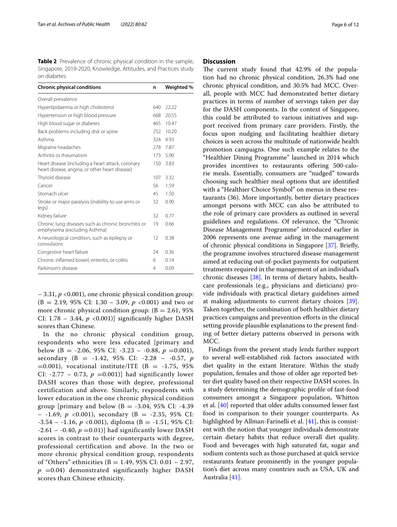<span id="page-5-0"></span>**Table 2** Prevalence of chronic physical condition in the sample, Singapore, 2019-2020, Knowledge, Attitudes, and Practices study on diabetes

| <b>Chronic physical conditions</b>                                                                  | n   | Weighted % |
|-----------------------------------------------------------------------------------------------------|-----|------------|
| Overall prevalence                                                                                  |     |            |
| Hyperlipidaemia or high cholesterol                                                                 | 640 | 22.22      |
| Hypertension or high blood pressure                                                                 | 668 | 20.55      |
| High blood sugar or diabetes                                                                        | 465 | 10.47      |
| Back problems including disk or spine                                                               | 252 | 10.20      |
| Asthma                                                                                              | 324 | 9.93       |
| Migraine headaches                                                                                  | 278 | 7.87       |
| Arthritis or rheumatism                                                                             | 173 | 5.90       |
| Heart disease (including a heart attack, coronary<br>heart disease, angina, or other heart disease) | 150 | 3.83       |
| Thyroid disease                                                                                     | 107 | 3.32       |
| Cancer                                                                                              | 56  | 1.59       |
| Stomach ulcer                                                                                       | 45  | 1.50       |
| Stroke or major paralysis (inability to use arms or<br>legs)                                        | 32  | 0.90       |
| Kidney failure                                                                                      | 32  | 0.77       |
| Chronic lung diseases such as chronic bronchitis or<br>emphysema (excluding Asthma)                 | 19  | 0.66       |
| A neurological condition, such as epilepsy or<br>convulsions                                        | 12  | 0.38       |
| Congestive heart failure                                                                            | 24  | 0.36       |
| Chronic inflamed bowel, enteritis, or colitis                                                       | 6   | 0.14       |
| Parkinson's disease                                                                                 | 4   | 0.09       |

– 3.31, *p* <0.001), one chronic physical condition group:  $(B = 2.19, 95\% \text{ CI: } 1.30 - 3.09, p < 0.001)$  and two or more chronic physical condition group:  $(B = 2.61, 95\%)$ CI:  $1.78 - 3.44$ ,  $p < 0.001$ )] significantly higher DASH scores than Chinese.

In the no chronic physical condition group, respondents who were less educated [primary and below (B =  $-2.06$ , 95% CI:  $-3.23 - -0.88$ ,  $p = 0.001$ ), secondary (B = -1.42, 95% CI: -2.28 – -0.57, *p*  $=0.001$ ), vocational institute/ITE (B = -1.75, 95%) CI: -2.77 – 0.73,  $p = 0.001$ ] had significantly lower DASH scores than those with degree, professional certification and above. Similarly, respondents with lower education in the one chronic physical condition group [primary and below  $(B = -3.04, 95\% \text{ CI: } -4.39$  $-$  -1.69,  $p \le 0.001$ ), secondary (B = -2.35, 95% CI:  $-3.54 - 1.16$ ,  $p \le 0.001$ ), diploma (B =  $-1.51$ , 95% CI:  $-2.61 - -0.40$ ,  $p = 0.01$ ) had significantly lower DASH scores in contrast to their counterparts with degree, professional certification and above. In the two or more chronic physical condition group, respondents of "Others" ethnicities (B = 1.49, 95% CI:  $0.01 - 2.97$ ,  $p = 0.04$ ) demonstrated significantly higher DASH scores than Chinese ethnicity.

## **Discussion**

The current study found that 42.9% of the population had no chronic physical condition, 26.3% had one chronic physical condition, and 30.5% had MCC. Overall, people with MCC had demonstrated better dietary practices in terms of number of servings taken per day for the DASH components. In the context of Singapore, this could be attributed to various initiatives and support received from primary care providers. Firstly, the focus upon nudging and facilitating healthier dietary choices is seen across the multitude of nationwide health promotion campaigns. One such example relates to the "Healthier Dining Programme" launched in 2014 which provides incentives to restaurants ofering 500-calorie meals. Essentially, consumers are "nudged" towards choosing such healthier meal options that are identifed with a "Healthier Choice Symbol" on menus in these restaurants (36). More importantly, better dietary practices amongst persons with MCC can also be attributed to the role of primary care providers as outlined in several guidelines and regulations. Of relevance, the "Chronic Disease Management Programme" introduced earlier in 2006 represents one avenue aiding in the management of chronic physical conditions in Singapore [[37](#page-11-0)]. Briefy, the programme involves structured disease management aimed at reducing out-of-pocket payments for outpatient treatments required in the management of an individual's chronic diseases [[38](#page-11-1)]. In terms of dietary habits, healthcare professionals (e.g., physicians and dieticians) provide individuals with practical dietary guidelines aimed at making adjustments to current dietary choices [\[39](#page-11-2)]. Taken together, the combination of both healthier dietary practices campaigns and prevention eforts in the clinical setting provide plausible explanations to the present fnding of better dietary patterns observed in persons with MCC.

Findings from the present study lends further support to several well-established risk factors associated with diet quality in the extant literature. Within the study population, females and those of older age reported better diet quality based on their respective DASH scores. In a study determining the demographic profle of fast-food consumers amongst a Singapore population, Whitton et al. [\[40\]](#page-11-3) reported that older adults consumed lesser fast food in comparison to their younger counterparts. As highlighted by Allman-Farinelli et al. [[41\]](#page-11-4), this is consistent with the notion that younger individuals demonstrate certain dietary habits that reduce overall diet quality. Food and beverages with high saturated fat, sugar and sodium contents such as those purchased at quick service restaurants feature prominently in the younger population's diet across many countries such as USA, UK and Australia [\[41](#page-11-4)].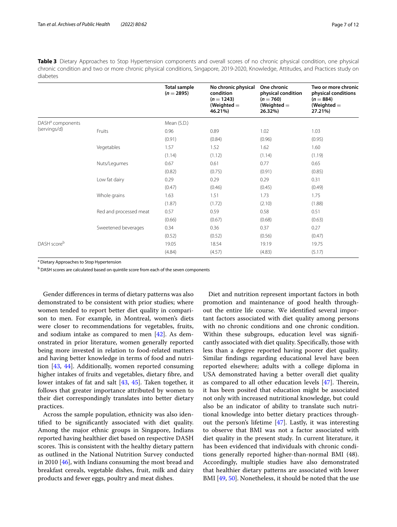<span id="page-6-0"></span>**Table 3** Dietary Approaches to Stop Hypertension components and overall scores of no chronic physical condition, one physical chronic condition and two or more chronic physical conditions, Singapore, 2019-2020, Knowledge, Attitudes, and Practices study on diabetes

|                                              |                        | <b>Total sample</b><br>$(n = 2895)$ | No chronic physical<br>condition<br>$(n = 1243)$<br>(Weighted $=$<br>46.21%) | One chronic<br>physical condition<br>$(n = 760)$<br>(Weighted $=$<br>26.32%) | Two or more chronic<br>physical conditions<br>$(n = 884)$<br>(Weighted $=$<br>27.21%) |
|----------------------------------------------|------------------------|-------------------------------------|------------------------------------------------------------------------------|------------------------------------------------------------------------------|---------------------------------------------------------------------------------------|
| DASH <sup>a</sup> components<br>(servings/d) |                        | Mean (S.D.)                         |                                                                              |                                                                              |                                                                                       |
|                                              | Fruits                 | 0.96                                | 0.89                                                                         | 1.02                                                                         | 1.03                                                                                  |
|                                              |                        | (0.91)                              | (0.84)                                                                       | (0.96)                                                                       | (0.95)                                                                                |
|                                              | Vegetables             | 1.57                                | 1.52                                                                         | 1.62                                                                         | 1.60                                                                                  |
|                                              |                        | (1.14)                              | (1.12)                                                                       | (1.14)                                                                       | (1.19)                                                                                |
|                                              | Nuts/Legumes           | 0.67                                | 0.61                                                                         | 0.77                                                                         | 0.65                                                                                  |
|                                              |                        | (0.82)                              | (0.75)                                                                       | (0.91)                                                                       | (0.85)                                                                                |
|                                              | Low fat dairy          | 0.29                                | 0.29                                                                         | 0.29                                                                         | 0.31                                                                                  |
|                                              |                        | (0.47)                              | (0.46)                                                                       | (0.45)                                                                       | (0.49)                                                                                |
|                                              | Whole grains           | 1.63                                | 1.51                                                                         | 1.73                                                                         | 1.75                                                                                  |
|                                              |                        | (1.87)                              | (1.72)                                                                       | (2.10)                                                                       | (1.88)                                                                                |
|                                              | Red and processed meat | 0.57                                | 0.59                                                                         | 0.58                                                                         | 0.51                                                                                  |
|                                              |                        | (0.66)                              | (0.67)                                                                       | (0.68)                                                                       | (0.63)                                                                                |
|                                              | Sweetened beverages    | 0.34                                | 0.36                                                                         | 0.37                                                                         | 0.27                                                                                  |
|                                              |                        | (0.52)                              | (0.52)                                                                       | (0.56)                                                                       | (0.47)                                                                                |
| DASH scoreb                                  |                        | 19.05                               | 18.54                                                                        | 19.19                                                                        | 19.75                                                                                 |
|                                              |                        | (4.84)                              | (4.57)                                                                       | (4.83)                                                                       | (5.17)                                                                                |

<sup>a</sup> Dietary Approaches to Stop Hypertension

<sup>b</sup> DASH scores are calculated based on quintile score from each of the seven components

Gender diferences in terms of dietary patterns was also demonstrated to be consistent with prior studies; where women tended to report better diet quality in comparison to men. For example, in Montreal, women's diets were closer to recommendations for vegetables, fruits, and sodium intake as compared to men [[42\]](#page-11-5). As demonstrated in prior literature, women generally reported being more invested in relation to food-related matters and having better knowledge in terms of food and nutrition [\[43](#page-11-6), [44](#page-11-7)]. Additionally, women reported consuming higher intakes of fruits and vegetables, dietary fibre, and lower intakes of fat and salt [[43,](#page-11-6) [45](#page-11-8)]. Taken together, it follows that greater importance attributed by women to their diet correspondingly translates into better dietary practices.

Across the sample population, ethnicity was also identifed to be signifcantly associated with diet quality. Among the major ethnic groups in Singapore, Indians reported having healthier diet based on respective DASH scores. This is consistent with the healthy dietary pattern as outlined in the National Nutrition Survey conducted in 2010 [[46](#page-11-9)], with Indians consuming the most bread and breakfast cereals, vegetable dishes, fruit, milk and dairy products and fewer eggs, poultry and meat dishes.

Diet and nutrition represent important factors in both promotion and maintenance of good health throughout the entire life course. We identifed several important factors associated with diet quality among persons with no chronic conditions and one chronic condition. Within these subgroups, education level was signifcantly associated with diet quality. Specifcally, those with less than a degree reported having poorer diet quality. Similar fndings regarding educational level have been reported elsewhere; adults with a college diploma in USA demonstrated having a better overall diet quality as compared to all other education levels  $[47]$  $[47]$ . Therein, it has been posited that education might be associated not only with increased nutritional knowledge, but could also be an indicator of ability to translate such nutritional knowledge into better dietary practices throughout the person's lifetime [\[47](#page-11-10)]. Lastly, it was interesting to observe that BMI was not a factor associated with diet quality in the present study. In current literature, it has been evidenced that individuals with chronic conditions generally reported higher-than-normal BMI (48). Accordingly, multiple studies have also demonstrated that healthier dietary patterns are associated with lower BMI [[49](#page-11-11), [50\]](#page-11-12). Nonetheless, it should be noted that the use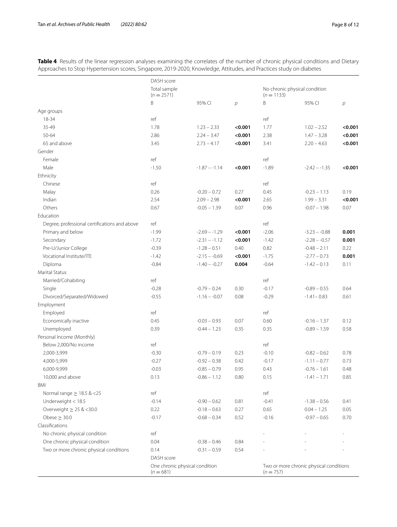|                                               | DASH score                   |                 |                |                                               |                 |                |
|-----------------------------------------------|------------------------------|-----------------|----------------|-----------------------------------------------|-----------------|----------------|
|                                               | Total sample<br>$(n = 2571)$ |                 |                | No chronic physical condition<br>$(n = 1133)$ |                 |                |
|                                               | B                            | 95% CI          | $\overline{p}$ | Β                                             | 95% CI          | $\overline{p}$ |
| Age groups                                    |                              |                 |                |                                               |                 |                |
| 18-34                                         | ref                          |                 |                | ref                                           |                 |                |
| 35-49                                         | 1.78                         | $1.23 - 2.33$   | < 0.001        | 1.77                                          | $1.02 - 2.52$   | < 0.001        |
| 50-64                                         | 2.86                         | $2.24 - 3.47$   | < 0.001        | 2.38                                          | $1.47 - 3.28$   | < 0.001        |
| 65 and above                                  | 3.45                         | $2.73 - 4.17$   | < 0.001        | 3.41                                          | $2.20 - 4.63$   | < 0.001        |
| Gender                                        |                              |                 |                |                                               |                 |                |
| Female                                        | ref                          |                 |                | ref                                           |                 |                |
| Male                                          | $-1.50$                      | $-1.87 - -1.14$ | < 0.001        | $-1.89$                                       | $-2.42 - -1.35$ | < 0.001        |
| Ethnicity                                     |                              |                 |                |                                               |                 |                |
| Chinese                                       | ref                          |                 |                | ref                                           |                 |                |
| Malay                                         | 0.26                         | $-0.20 - 0.72$  | 0.27           | 0.45                                          | $-0.23 - 1.13$  | 0.19           |
| Indian                                        | 2.54                         | $2.09 - 2.98$   | < 0.001        | 2.65                                          | $1.99 - 3.31$   | < 0.001        |
| Others                                        | 0.67                         | $-0.05 - 1.39$  | 0.07           | 0.96                                          | $-0.07 - 1.98$  | 0.07           |
| Education                                     |                              |                 |                |                                               |                 |                |
| Degree, professional certifications and above | ref                          |                 |                | ref                                           |                 |                |
| Primary and below                             | $-1.99$                      | $-2.69 - -1.29$ | < 0.001        | $-2.06$                                       | $-3.23 - -0.88$ | 0.001          |
| Secondary                                     | $-1.72$                      | $-2.31 - -1.12$ | < 0.001        | $-1.42$                                       | $-2.28 - -0.57$ | 0.001          |
| Pre-U/Junior College                          | $-0.39$                      | $-1.28 - 0.51$  | 0.40           | 0.82                                          | $-0.48 - 2.11$  | 0.22           |
| Vocational Institute/ITE                      | $-1.42$                      | $-2.15 - -0.69$ | < 0.001        | $-1.75$                                       | $-2.77 - 0.73$  | 0.001          |
| Diploma                                       | $-0.84$                      | $-1.40 - -0.27$ | 0.004          | $-0.64$                                       | $-1.42 - 0.13$  | 0.11           |
| <b>Marital Status</b>                         |                              |                 |                |                                               |                 |                |
| Married/Cohabiting                            | ref                          |                 |                | ref                                           |                 |                |
| Single                                        | $-0.28$                      | $-0.79 - 0.24$  | 0.30           | $-0.17$                                       | $-0.89 - 0.55$  | 0.64           |
| Divorced/Separated/Widowed                    | $-0.55$                      | $-1.16 - -0.07$ | 0.08           | $-0.29$                                       | $-1.41 - 0.83$  | 0.61           |
| Employment                                    |                              |                 |                |                                               |                 |                |
| Employed                                      | ref                          |                 |                | ref                                           |                 |                |
| Economically inactive                         | 0.45                         | $-0.03 - 0.93$  | 0.07           | 0.60                                          | $-0.16 - 1.37$  | 0.12           |
| Unemployed                                    | 0.39                         | $-0.44 - 1.23$  | 0.35           | 0.35                                          | $-0.89 - 1.59$  | 0.58           |
| Personal Income (Monthly)                     |                              |                 |                |                                               |                 |                |
| Below 2,000/No income                         | ref                          |                 |                | ref                                           |                 |                |
| 2,000-3,999                                   | $-0.30$                      | $-0.79 - 0.19$  | 0.23           | $-0.10$                                       | $-0.82 - 0.62$  | 0.78           |
| 4,000-5,999                                   | $-0.27$                      | $-0.92 - 0.38$  | 0.42           | $-0.17$                                       | $-1.11 - 0.77$  | 0.73           |
| 6,000-9,999                                   | $-0.03$                      | $-0.85 - 0.79$  | 0.95           | 0.43                                          | $-0.76 - 1.61$  | 0.48           |
| 10,000 and above                              | 0.13                         | $-0.86 - 1.12$  | 0.80           | 0.15                                          | $-1.41 - 1.71$  | 0.85           |
| BMI                                           |                              |                 |                |                                               |                 |                |
| Normal range $\geq$ 18.5 & <25                | ref                          |                 |                | ref                                           |                 |                |
| Underweight < 18.5                            | $-0.14$                      | $-0.90 - 0.62$  | 0.81           | $-0.41$                                       | $-1.38 - 0.56$  | 0.41           |
| Overweight $\geq 25$ & <30.0                  | 0.22                         | $-0.18 - 0.63$  | 0.27           | 0.65                                          | $0.04 - 1.25$   | 0.05           |
| Obese $\geq$ 30.0                             | $-0.17$                      | $-0.68 - 0.34$  | 0.52           | $-0.16$                                       | $-0.97 - 0.65$  | 0.70           |
| Classifications                               |                              |                 |                |                                               |                 |                |
| No chronic physical condition                 | ref                          |                 |                |                                               |                 |                |
| One chronic physical condition                | 0.04                         | $-0.38 - 0.46$  | 0.84           |                                               |                 |                |
| Two or more chronic physical conditions       | 0.14                         | $-0.31 - 0.59$  | 0.54           |                                               |                 |                |

DASH score

 $(n = 681)$ 

One chronic physical condition

Two or more chronic physical conditions

 $(n = 757)$ 

<span id="page-7-0"></span>**Table 4** Results of the linear regression analyses examining the correlates of the number of chronic physical conditions and Dietary Approaches to Stop Hypertension scores, Singapore, 2019-2020, Knowledge, Attitudes, and Practices study on diabetes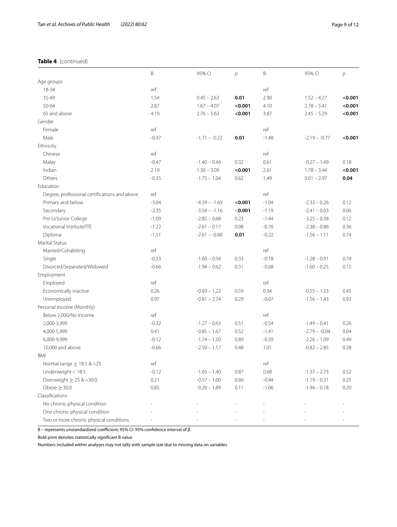## **Table 4** (continued)

|                                               | B       | 95% CI          | $\overline{p}$ | B       | 95% CI          | $\mathcal{P}$ |
|-----------------------------------------------|---------|-----------------|----------------|---------|-----------------|---------------|
| Age groups                                    |         |                 |                |         |                 |               |
| 18-34                                         | ref     |                 |                | ref     |                 |               |
| 35-49                                         | 1.54    | $0.45 - 2.63$   | 0.01           | 2.90    | $1.52 - 4.27$   | < 0.001       |
| $50 - 64$                                     | 2.87    | $1.67 - 4.07$   | < 0.001        | 4.10    | $2.78 - 5.41$   | < 0.001       |
| 65 and above                                  | 4.19    | $2.76 - 5.63$   | < 0.001        | 3.87    | $2.45 - 5.29$   | < 0.001       |
| Gender                                        |         |                 |                |         |                 |               |
| Female                                        | ref     |                 |                | ref     |                 |               |
| Male                                          | $-0.97$ | $-1.71 - -0.22$ | 0.01           | $-1.48$ | $-2.19 - -0.77$ | < 0.001       |
| Ethnicity                                     |         |                 |                |         |                 |               |
| Chinese                                       | ref     |                 |                | ref     |                 |               |
| Malay                                         | $-0.47$ | $-1.40 - 0.46$  | 0.32           | 0.61    | $-0.27 - 1.49$  | 0.18          |
| Indian                                        | 2.19    | $1.30 - 3.09$   | < 0.001        | 2.61    | $1.78 - 3.44$   | < 0.001       |
| Others                                        | $-0.35$ | $-1.75 - 1.04$  | 0.62           | 1.49    | $0.01 - 2.97$   | 0.04          |
| Education                                     |         |                 |                |         |                 |               |
| Degree, professional certifications and above | ref     |                 |                | ref     |                 |               |
| Primary and below                             | $-3.04$ | $-4.39 - -1.69$ | < 0.001        | $-1.04$ | $-2.33 - 0.26$  | 0.12          |
| Secondary                                     | $-2.35$ | $-3.54 - -1.16$ | $<$ 0.001      | $-1.19$ | $-2.41 - 0.03$  | 0.06          |
| Pre-U/Junior College                          | $-1.09$ | $-2.85 - 0.68$  | 0.23           | $-1.44$ | $-3.25 - 0.38$  | 0.12          |
| Vocational Institute/ITE                      | $-1.22$ | $-2.61 - 0.17$  | 0.08           | $-0.76$ | $-2.38 - 0.86$  | 0.36          |
| Diploma                                       | $-1.51$ | $-2.61 - -0.40$ | 0.01           | $-0.22$ | $-1.56 - 1.11$  | 0.74          |
| <b>Marital Status</b>                         |         |                 |                |         |                 |               |
| Married/Cohabiting                            | ref     |                 |                | ref     |                 |               |
| Single                                        | $-0.53$ | $-1.60 - 0.54$  | 0.33           | $-0.18$ | $-1.28 - 0.91$  | 0.74          |
| Divorced/Separated/Widowed                    | $-0.66$ | $-1.94 - 0.62$  | 0.31           | $-0.68$ | $-1.60 - 0.25$  | 0.15          |
| Employment                                    |         |                 |                |         |                 |               |
| Employed                                      | ref     |                 |                | ref     |                 |               |
| Economically inactive                         | 0.26    | $-0.69 - 1.22$  | 0.59           | 0.34    | $-0.55 - 1.23$  | 0.45          |
| Unemployed                                    | 0.97    | $-0.81 - 2.74$  | 0.29           | $-0.07$ | $-1.56 - 1.43$  | 0.93          |
| Personal Income (Monthly)                     |         |                 |                |         |                 |               |
| Below 2,000/No income                         | ref     |                 |                | ref     |                 |               |
| 2,000-3,999                                   | $-0.32$ | $-1.27 - 0.63$  | 0.51           | $-0.54$ | $-1.49 - 0.41$  | 0.26          |
| 4,000-5,999                                   | 0.41    | $-0.85 - 1.67$  | 0.52           | $-1.41$ | $-2.79 - -0.04$ | 0.04          |
| 6,000-9,999                                   | $-0.12$ | $-1.74 - 1.50$  | 0.89           | $-0.59$ | $-2.26 - 1.09$  | 0.49          |
| 10,000 and above                              | $-0.66$ | $-2.50 - 1.17$  | 0.48           | 1.01    | $-0.82 - 2.85$  | 0.28          |
| <b>BMI</b>                                    |         |                 |                |         |                 |               |
| Normal range $\geq 18.5$ & <25                | ref     |                 |                | ref     |                 |               |
| Underweight < 18.5                            | $-0.12$ | $-1.65 - 1.40$  | 0.87           | 0.68    | $-1.37 - 2.73$  | 0.52          |
| Overweight $\geq$ 25 & <30.0                  | 0.21    | $-0.57 - 1.00$  | 0.60           | $-0.44$ | $-1.19 - 0.31$  | 0.25          |

Obese ≥ 30.0 0.85  $-0.20 - 1.89$  0.11  $-1.06$   $-1.94 - 0.18$  0.20

No chronic physical condition and the set of the set of the set of the set of the set of the set of the set of the set of the set of the set of the set of the set of the set of the set of the set of the set of the set of t One chronic physical condition - - - - - - Two or more chronic physical conditions - - - - - -

B – represents unstandardized coefficient; 95% CI: 95% confidence interval of  $\beta$ 

Bold print denotes statistically signifcant B value

Classifcations

Numbers included within analyses may not tally with sample size due to missing data on variables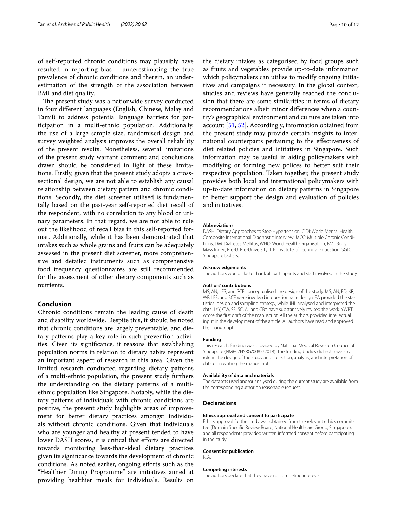of self-reported chronic conditions may plausibly have resulted in reporting bias – underestimating the true prevalence of chronic conditions and therein, an underestimation of the strength of the association between BMI and diet quality.

The present study was a nationwide survey conducted in four diferent languages (English, Chinese, Malay and Tamil) to address potential language barriers for participation in a multi-ethnic population. Additionally, the use of a large sample size, randomised design and survey weighted analysis improves the overall reliability of the present results. Nonetheless, several limitations of the present study warrant comment and conclusions drawn should be considered in light of these limitations. Firstly, given that the present study adopts a crosssectional design, we are not able to establish any causal relationship between dietary pattern and chronic conditions. Secondly, the diet screener utilised is fundamentally based on the past-year self-reported diet recall of the respondent, with no correlation to any blood or urinary parameters. In that regard, we are not able to rule out the likelihood of recall bias in this self-reported format. Additionally, while it has been demonstrated that intakes such as whole grains and fruits can be adequately assessed in the present diet screener, more comprehensive and detailed instruments such as comprehensive food frequency questionnaires are still recommended for the assessment of other dietary components such as nutrients.

## **Conclusion**

Chronic conditions remain the leading cause of death and disability worldwide. Despite this, it should be noted that chronic conditions are largely preventable, and dietary patterns play a key role in such prevention activities. Given its signifcance, it reasons that establishing population norms in relation to dietary habits represent an important aspect of research in this area. Given the limited research conducted regarding dietary patterns of a multi-ethnic population, the present study furthers the understanding on the dietary patterns of a multiethnic population like Singapore. Notably, while the dietary patterns of individuals with chronic conditions are positive, the present study highlights areas of improvement for better dietary practices amongst individuals without chronic conditions. Given that individuals who are younger and healthy at present tended to have lower DASH scores, it is critical that efforts are directed towards monitoring less-than-ideal dietary practices given its signifcance towards the development of chronic conditions. As noted earlier, ongoing eforts such as the "Healthier Dining Programme" are initiatives aimed at providing healthier meals for individuals. Results on

the dietary intakes as categorised by food groups such as fruits and vegetables provide up-to-date information which policymakers can utilise to modify ongoing initiatives and campaigns if necessary. In the global context, studies and reviews have generally reached the conclusion that there are some similarities in terms of dietary recommendations albeit minor diferences when a country's geographical environment and culture are taken into account [[51](#page-11-13), [52\]](#page-11-14). Accordingly, information obtained from the present study may provide certain insights to international counterparts pertaining to the efectiveness of diet related policies and initiatives in Singapore. Such information may be useful in aiding policymakers with modifying or forming new polices to better suit their respective population. Taken together, the present study provides both local and international policymakers with up-to-date information on dietary patterns in Singapore to better support the design and evaluation of policies and initiatives.

#### **Abbreviations**

DASH: Dietary Approaches to Stop Hypertension; CIDI: World Mental Health Composite International Diagnostic Interview; MCC: Multiple Chronic Conditions; DM: Diabetes Mellitus; WHO: World Health Organisation; BMI: Body Mass Index; Pre-U: Pre-University; ITE: Institute of Technical Education; SGD: Singapore Dollars.

#### **Acknowledgements**

The authors would like to thank all participants and staff involved in the study.

#### **Authors' contributions**

MS, AN, LES, and SCF conceptualised the design of the study. MS, AN, FD, KR, WP, LES, and SCF were involved in questionnaire design. EA provided the statistical design and sampling strategy, while JHL analysed and interpreted the data. LYY, CW, SS, SC, AJ and CBY have substantively revised the work. YWBT wrote the frst draft of the manuscript. All the authors provided intellectual input in the development of the article. All authors have read and approved the manuscript.

#### **Funding**

This research funding was provided by National Medical Research Council of Singapore (NMRC/HSRG/0085/2018). The funding bodies did not have any role in the design of the study and collection, analysis, and interpretation of data or in writing the manuscript.

## **Availability of data and materials**

The datasets used and/or analysed during the current study are available from the corresponding author on reasonable request.

#### **Declarations**

#### **Ethics approval and consent to participate**

Ethics approval for the study was obtained from the relevant ethics committee (Domain Specifc Review Board, National Healthcare Group, Singapore), and all respondents provided written informed consent before participating in the study.

#### **Consent for publication**

N.A.

#### **Competing interests**

The authors declare that they have no competing interests.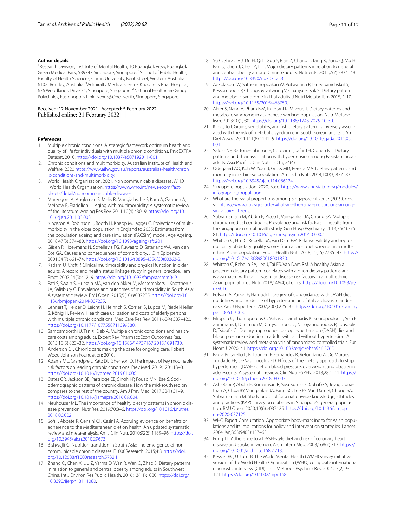#### **Author details**

<sup>1</sup> Research Division, Institute of Mental Health, 10 Buangkok View, Buangkok Green Medical Park, 539747 Singapore, Singapore. <sup>2</sup> School of Public Health, Faculty of Health Sciences, Curtin University, Kent Street, Western Australia 6102 Bentley, Australia. <sup>3</sup> Admiralty Medical Centre, Khoo Teck Puat Hospital, 676 Woodlands Drive 71, Singapore, Singapore. <sup>4</sup>National Healthcare Group Polyclinics, Fusionopolis Link. Nexus@One-North, Singapore, Singapore.

Received: 12 November 2021 Accepted: 5 February 2022 Published online: 21 February 2022

#### **References**

- <span id="page-10-0"></span>1. Multiple chronic conditions. A strategic framework optimum health and quality of life for individuals with multiple chronic conditions. PsycEXTRA Dataset. 2010. [https://doi.org/10.1037/e507192011-001.](https://doi.org/10.1037/e507192011-001)
- <span id="page-10-1"></span>2. Chronic conditions and multimorbidity. Australian Institute of Health and Welfare. 2020 [https://www.aihw.gov.au/reports/australias-health/chron](https://www.aihw.gov.au/reports/australias-health/chronic-conditions-and-multimorbidity) [ic-conditions-and-multimorbidity](https://www.aihw.gov.au/reports/australias-health/chronic-conditions-and-multimorbidity).
- <span id="page-10-2"></span>3. World Health Organization. 2021. Non communicable diseases. WHO | World Health Organization. [https://www.who.int/news-room/fact](https://www.who.int/news-room/fact-sheets/detail/noncommunicable-diseases)[sheets/detail/noncommunicable-diseases](https://www.who.int/news-room/fact-sheets/detail/noncommunicable-diseases).
- <span id="page-10-3"></span>4. Marengoni A, Angleman S, Melis R, Mangialasche F, Karp A, Garmen A, Meinow B, Fratiglioni L. Aging with multimorbidity: A systematic review of the literature. Ageing Res Rev. 2011;10(4):430–9. [https://doi.org/10.](https://doi.org/10.1016/j.arr.2011.03.003) [1016/j.arr.2011.03.003](https://doi.org/10.1016/j.arr.2011.03.003).
- <span id="page-10-4"></span>5. Kingston A, Robinson L, Booth H, Knapp M, Jagger C. Projections of multimorbidity in the older population in England to 2035: Estimates from the population ageing and care simulation (PACSim) model. Age Ageing. 2018;47(3):374–80. [https://doi.org/10.1093/ageing/afx201.](https://doi.org/10.1093/ageing/afx201)
- <span id="page-10-5"></span>6. Gijsen R, Hoeymans N, Schellevis FG, Ruwaard D, Satariano WA, Van den Bos GA. Causes and consequences of comorbidity. J Clin Epidemiol. 2001;54(7):661–74. [https://doi.org/10.1016/s0895-4356\(00\)00363-2.](https://doi.org/10.1016/s0895-4356(00)00363-2)
- <span id="page-10-6"></span>7. Kadam U, Croft P. Clinical multimorbidity and physical function in older adults: A record and health status linkage study in general practice. Fam Pract. 2007;24(5):412–9. [https://doi.org/10.1093/fampra/cmm049.](https://doi.org/10.1093/fampra/cmm049)
- <span id="page-10-7"></span>8. Pati S, Swain S, Hussain MA, Van den Akker M, Metsemakers J, Knottnerus JA, Salisbury C. Prevalence and outcomes of multimorbidity in South Asia: A systematic review. BMJ Open. 2015;5(10):e007235. [https://doi.org/10.](https://doi.org/10.1136/bmjopen-2014-007235) [1136/bmjopen-2014-007235.](https://doi.org/10.1136/bmjopen-2014-007235)
- <span id="page-10-8"></span>9. Lehnert T, Heider D, Leicht H, Heinrich S, Corrieri S, Luppa M, Riedel-Heller S, König H. Review: Health care utilization and costs of elderly persons with multiple chronic conditions. Med Care Res Rev. 2011;68(4):387–420. <https://doi.org/10.1177/1077558711399580>.
- <span id="page-10-9"></span>10. Sambamoorthi U, Tan X, Deb A. Multiple chronic conditions and healthcare costs among adults. Expert Rev PharmacoEcon Outcomes Res. 2015;15(5):823–32. [https://doi.org/10.1586/14737167.2015.1091730.](https://doi.org/10.1586/14737167.2015.1091730)
- <span id="page-10-10"></span>11. Anderson GF. Chronic care: making the case for ongoing care. Robert Wood Johnson Foundation; 2010.
- <span id="page-10-11"></span>12. Adams ML, Grandpre J, Katz DL, Shenson D. The impact of key modifable risk factors on leading chronic conditions. Prev Med. 2019;120:113–8. <https://doi.org/10.1016/j.ypmed.2019.01.006>.
- <span id="page-10-12"></span>13. Oates GR, Jackson BE, Partridge EE, Singh KP, Fouad MN, Bae S. Sociodemographic patterns of chronic disease: How the mid-south region compares to the rest of the country. Am J Prev Med. 2017;52(1):31–9. <https://doi.org/10.1016/j.amepre.2016.09.004>.
- <span id="page-10-13"></span>14. Neuhouser ML. The importance of healthy dietary patterns in chronic disease prevention. Nutr Res. 2019;70:3–6. [https://doi.org/10.1016/j.nutres.](https://doi.org/10.1016/j.nutres.2018.06.002) [2018.06.002](https://doi.org/10.1016/j.nutres.2018.06.002).
- <span id="page-10-14"></span>15. Sof F, Abbate R, Gensini GF, Casini A. Accruing evidence on benefts of adherence to the Mediterranean diet on health: An updated systematic review and meta-analysis. Am J Clin Nutr. 2010;92(5):1189–96. [https://doi.](https://doi.org/10.3945/ajcn.2010.29673) [org/10.3945/ajcn.2010.29673](https://doi.org/10.3945/ajcn.2010.29673).
- <span id="page-10-15"></span>16. Bishwajit G. Nutrition transition in South Asia: The emergence of noncommunicable chronic diseases. F1000Research. 2015;4:8. [https://doi.](https://doi.org/10.12688/f1000research.5732.1) [org/10.12688/f1000research.5732.1.](https://doi.org/10.12688/f1000research.5732.1)
- <span id="page-10-16"></span>17. Zhang Q, Chen X, Liu Z, Varma D, Wan R, Wan Q, Zhao S. Dietary patterns in relation to general and central obesity among adults in Southwest China. Int J Environ Res Public Health. 2016;13(11):1080. [https://doi.org/](https://doi.org/10.3390/ijerph13111080) [10.3390/ijerph13111080](https://doi.org/10.3390/ijerph13111080).
- <span id="page-10-17"></span>18. Yu C, Shi Z, Lv J, Du H, Qi L, Guo Y, Bian Z, Chang L, Tang X, Jiang Q, Mu H, Pan D, Chen J, Chen Z, Li L. Major dietary patterns in relation to general and central obesity among Chinese adults. Nutrients. 2015;7(7):5834–49. <https://doi.org/10.3390/nu7075253>.
- <span id="page-10-18"></span>19. Aekplakorn W, Satheannoppakao W, Putwatana P, Taneepanichskul S, Kessomboon P, Chongsuvivatwong V, Chariyalertsak S. Dietary pattern and metabolic syndrome in Thai adults. J Nutri Metabolism 2015, 1-10. [https://doi.org/10.1155/2015/468759.](https://doi.org/10.1155/2015/468759)
- <span id="page-10-19"></span>20. Akter S, Nanri A, Pham NM, Kurotani K, Mizoue T. Dietary patterns and metabolic syndrome in a Japanese working population. Nutr Metabolism. 2013;10(1):30. [https://doi.org/10.1186/1743-7075-10-30.](https://doi.org/10.1186/1743-7075-10-30)
- <span id="page-10-20"></span>21. Kim J, Jo I. Grains, vegetables, and fish dietary pattern is inversely associated with the risk of metabolic syndrome in South Korean adults. J Am Diet Assoc. 2011;111(8):1141–9. [https://doi.org/10.1016/j.jada.2011.05.](https://doi.org/10.1016/j.jada.2011.05.001) [001.](https://doi.org/10.1016/j.jada.2011.05.001)
- <span id="page-10-21"></span>22. Safdar NF, Bertone-Johnson E, Cordeiro L, Jafar TH, Cohen NL. Dietary patterns and their association with hypertension among Pakistani urban adults. Asia Pacifc J Clin Nutri. 2015; 24(4).
- <span id="page-10-22"></span>23. Odegaard AO, Koh W, Yuan J, Gross MD, Pereira MA. Dietary patterns and mortality in a Chinese population. Am J Clin Nutr. 2014;100(3):877–83. <https://doi.org/10.3945/ajcn.114.086124>.
- <span id="page-10-23"></span>24. Singapore population. 2020. Base. [https://www.singstat.gov.sg/modules/](https://www.singstat.gov.sg/modules/infographics/population) [infographics/population](https://www.singstat.gov.sg/modules/infographics/population).
- <span id="page-10-24"></span>25. What are the racial proportions among Singapore citizens? (2019). gov. sg. [https://www.gov.sg/article/what-are-the-racial-proportions-among](https://www.gov.sg/article/what-are-the-racial-proportions-among-singapore-citizens)[singapore-citizens](https://www.gov.sg/article/what-are-the-racial-proportions-among-singapore-citizens).
- <span id="page-10-25"></span>26. Subramaniam M, Abdin E, Picco L, Vaingankar JA, Chong SA. Multiple chronic medical conditions: Prevalence and risk factors — results from the Singapore mental health study. Gen Hosp Psychiatry. 2014;36(4):375– 81. [https://doi.org/10.1016/j.genhosppsych.2014.03.002.](https://doi.org/10.1016/j.genhosppsych.2014.03.002)
- <span id="page-10-26"></span>27. Whitton C, Ho JC, Rebello SA, Van Dam RM. Relative validity and reproducibility of dietary quality scores from a short diet screener in a multiethnic Asian population. Public Health Nutr. 2018;21(15):2735–43. [https://](https://doi.org/10.1017/s1368980018001830) [doi.org/10.1017/s1368980018001830.](https://doi.org/10.1017/s1368980018001830)
- <span id="page-10-27"></span>28. Whitton C, Rebello SA, Lee J, Tai ES, Van Dam RM. A healthy Asian a posteriori dietary pattern correlates with a priori dietary patterns and is associated with cardiovascular disease risk factors in a multiethnic Asian population. J Nutr. 2018;148(4):616–23. [https://doi.org/10.1093/jn/](https://doi.org/10.1093/jn/nxy016) [nxy016](https://doi.org/10.1093/jn/nxy016).
- <span id="page-10-28"></span>29. Folsom A, Parker E, Harnack L. Degree of concordance with DASH diet guidelines and incidence of hypertension and fatal cardiovascular disease. Am J Hypertens. 2007;20(3):225–32. [https://doi.org/10.1016/j.amjhy](https://doi.org/10.1016/j.amjhyper.2006.09.003) [per.2006.09.003](https://doi.org/10.1016/j.amjhyper.2006.09.003).
- <span id="page-10-29"></span>30. Filippou C, Thomopoulos C, Mihas C, Dimitriadis K, Sotiropoulou L, Siaf E, Zammanis I, Dimitriadi M, Chrysochoou C, Nihoyannopoulos P, Tousoulis D, Tsioufs C. Dietary approaches to stop hypertension (DASH) diet and blood pressure reduction in adults with and without hypertension: A systematic review and meta-analysis of randomized controlled trials. Eur Heart J. 2020; 41.<https://doi.org/10.1093/ehjci/ehaa946.2765>.
- <span id="page-10-30"></span>31. Paula Bricarello L, Poltronieri F, Fernandes R, Retondario A, De Moraes Trindade EB, De Vasconcelos FD. Efects of the dietary approach to stop hypertension (DASH) diet on blood pressure, overweight and obesity in adolescents: A systematic review. Clin Nutr ESPEN. 2018;28:1–11. [https://](https://doi.org/10.1016/j.clnesp.2018.09.003) [doi.org/10.1016/j.clnesp.2018.09.003](https://doi.org/10.1016/j.clnesp.2018.09.003).
- <span id="page-10-31"></span>32. AshaRani P, Abdin E, Kumarasan R, Siva Kumar FD, Shafe S, Jeyagurunathan A, Chua BY, Vaingankar JA, Fang SC, Lee ES, Van Dam R, Chong SA, Subramaniam M. Study protocol for a nationwide knowledge, attitudes and practices (KAP) survey on diabetes in Singapore's general population. BMJ Open. 2020;10(6):e037125. [https://doi.org/10.1136/bmjop](https://doi.org/10.1136/bmjopen-2020-037125) [en-2020-037125](https://doi.org/10.1136/bmjopen-2020-037125).
- <span id="page-10-32"></span>33. WHO Expert Consultation. Appropriate body-mass index for Asian populations and its implications for policy and intervention strategies. Lancet. 2004 Jan;363(9403):157–63.
- <span id="page-10-33"></span>34. Fung TT. Adherence to a DASH-style diet and risk of coronary heart disease and stroke in women. Arch Intern Med. 2008;168(7):713. [https://](https://doi.org/10.1001/archinte.168.7.713) [doi.org/10.1001/archinte.168.7.713](https://doi.org/10.1001/archinte.168.7.713).
- <span id="page-10-34"></span>35. Kessler RC, Üstün TB. The World Mental Health (WMH) survey initiative version of the World Health Organization (WHO) composite international diagnostic interview (CIDI). Int J Methods Psychiatr Res. 2004;13(2):93– 121. [https://doi.org/10.1002/mpr.168.](https://doi.org/10.1002/mpr.168)